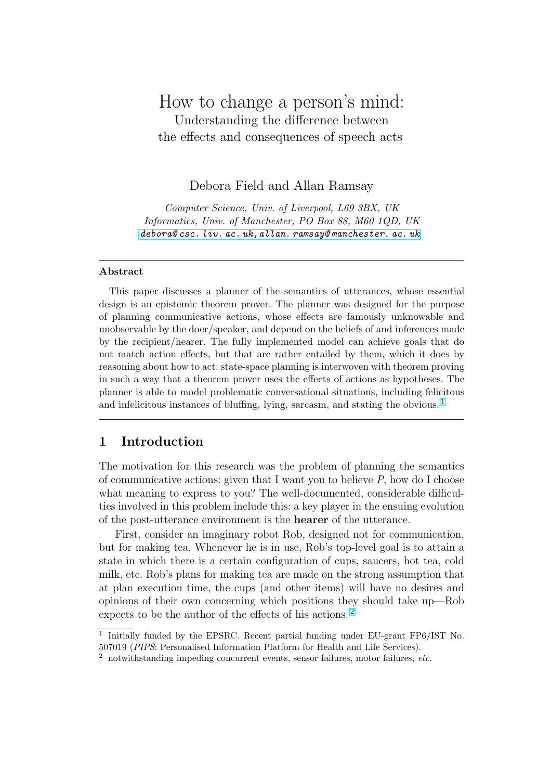# How to change a person's mind: Understanding the difference between the effects and consequences of speech acts

# Debora Field and Allan Ramsay

Computer Science, Univ. of Liverpool, L69 3BX, UK Informatics, Univ. of Manchester, PO Box 88, M60 1QD, UK debora@ csc. liv. ac. uk,allan. ramsay@ manchester. ac. uk

#### Abstrac[t](debora@csc.liv.ac.uk,allan.ramsay@manchester.ac.uk)

This paper discusses a planner of the semantics of utterances, whose essential design is an epistemic theorem prover. The planner was designed for the purpose of planning communicative actions, whose effects are famously unknowable and unobservable by the doer/speaker, and depend on the beliefs of and inferences made by the recipient/hearer. The fully implemented model can achieve goals that do not match action effects, but that are rather entailed by them, which it does by reasoning about how to act: state-space planning is interwoven with theorem proving in such a way that a theorem prover uses the effects of actions as hypotheses. The planner is able to model problematic conversational situations, including felicitous and infelicitous instances of bluffing, lying, sarcasm, and stating the obvious.<sup>1</sup>

# 1 Introduction

The motivation for this research was the problem of planning the semantics of communicative actions: given that I want you to believe  $P$ , how do I choose what meaning to express to you? The well-documented, considerable difficulties involved in this problem include this: a key player in the ensuing evolution of the post-utterance environment is the hearer of the utterance.

First, consider an imaginary robot Rob, designed not for communication, but for making tea. Whenever he is in use, Rob's top-level goal is to attain a state in which there is a certain configuration of cups, saucers, hot tea, cold milk, etc. Rob's plans for making tea are made on the strong assumption that at plan execution time, the cups (and other items) will have no desires and opinions of their own concerning which positions they should take up—Rob expects to be the author of the effects of his actions. <sup>2</sup>

<sup>&</sup>lt;sup>1</sup> Initially funded by the EPSRC. Recent partial funding under EU-grant FP6/IST No. 507019 (PIPS: Personalised Information Platform for Health and Life Services).

 $2$  notwithstanding impeding concurrent events, sensor failures, motor failures, etc.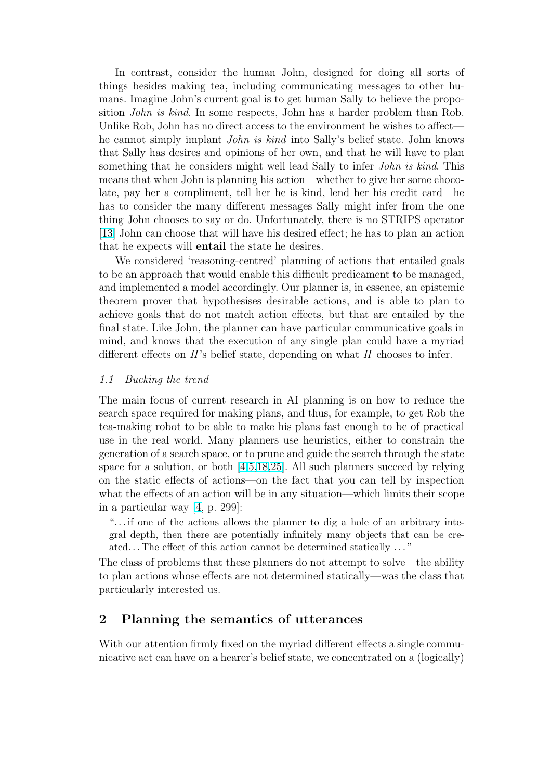In contrast, consider the human John, designed for doing all sorts of things besides making tea, including communicating messages to other humans. Imagine John's current goal is to get human Sally to believe the proposition John is kind. In some respects, John has a harder problem than Rob. Unlike Rob, John has no direct access to the environment he wishes to affect he cannot simply implant John is kind into Sally's belief state. John knows that Sally has desires and opinions of her own, and that he will have to plan something that he considers might well lead Sally to infer *John is kind*. This means that when John is planning his action—whether to give her some chocolate, pay her a compliment, tell her he is kind, lend her his credit card—he has to consider the many different messages Sally might infer from the one thing John chooses to say or do. Unfortunately, there is no STRIPS operator [13] John can choose that will have his desired effect; he has to plan an action that he expects will entail the state he desires.

We considered 'reasoning-centred' planning of actions that entailed goals [to b](#page-9-0)e an approach that would enable this difficult predicament to be managed, and implemented a model accordingly. Our planner is, in essence, an epistemic theorem prover that hypothesises desirable actions, and is able to plan to achieve goals that do not match action effects, but that are entailed by the final state. Like John, the planner can have particular communicative goals in mind, and knows that the execution of any single plan could have a myriad different effects on  $H$ 's belief state, depending on what  $H$  chooses to infer.

#### 1.1 Bucking the trend

The main focus of current research in AI planning is on how to reduce the search space required for making plans, and thus, for example, to get Rob the tea-making robot to be able to make his plans fast enough to be of practical use in the real world. Many planners use heuristics, either to constrain the generation of a search space, or to prune and guide the search through the state space for a solution, or both  $[4,5,18,25]$ . All such planners succeed by relying on the static effects of actions—on the fact that you can tell by inspection what the effects of an action will be in any situation—which limits their scope in a particular way [4, p. 299[\]:](#page-8-0)

". . . if one of the actions allow[s the pla](#page-9-0)nner to dig a hole of an arbitrary integral depth, then there are potentially infinitely many objects that can be created. . . The effect o[f t](#page-8-0)his action cannot be determined statically . . . "

The class of problems that these planners do not attempt to solve—the ability to plan actions whose effects are not determined statically—was the class that particularly interested us.

# 2 Planning the semantics of utterances

With our attention firmly fixed on the myriad different effects a single communicative act can have on a hearer's belief state, we concentrated on a (logically)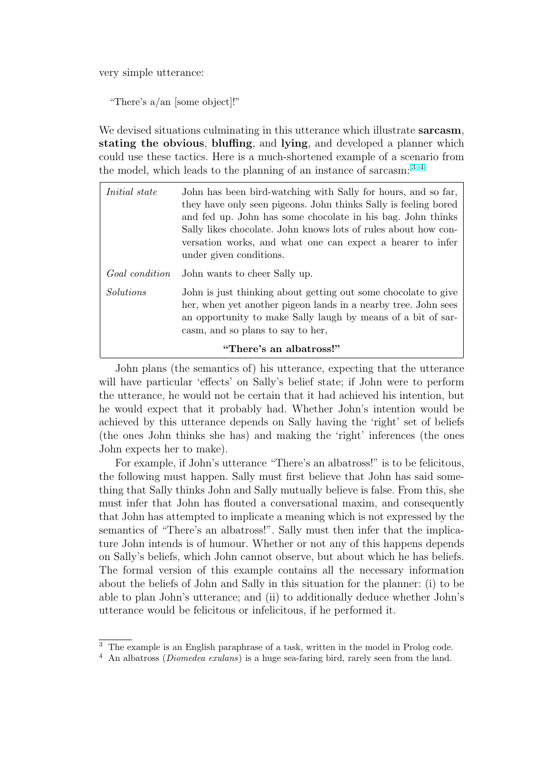very simple utterance:

"There's a/an [some object]!"

We devised situations culminating in this utterance which illustrate **sarcasm**, stating the obvious, bluffing, and lying, and developed a planner which could use these tactics. Here is a much-shortened example of a scenario from the model, which leads to the planning of an instance of sarcasm: <sup>3</sup> <sup>4</sup>

| <i>Initial state</i> | John has been bird-watching with Sally for hours, and so far,<br>they have only seen pigeons. John thinks Sally is feeling bored<br>and fed up. John has some chocolate in his bag. John thinks<br>Sally likes chocolate. John knows lots of rules about how con-<br>versation works, and what one can expect a hearer to infer<br>under given conditions. |
|----------------------|------------------------------------------------------------------------------------------------------------------------------------------------------------------------------------------------------------------------------------------------------------------------------------------------------------------------------------------------------------|
| Goal condition       | John wants to cheer Sally up.                                                                                                                                                                                                                                                                                                                              |
| <i>Solutions</i>     | John is just thinking about getting out some chocolate to give<br>her, when yet another pigeon lands in a nearby tree. John sees<br>an opportunity to make Sally laugh by means of a bit of sar-<br>casm, and so plans to say to her,                                                                                                                      |
|                      | "There's an albatross!"                                                                                                                                                                                                                                                                                                                                    |

John plans (the semantics of) his utterance, expecting that the utterance will have particular 'effects' on Sally's belief state; if John were to perform the utterance, he would not be certain that it had achieved his intention, but he would expect that it probably had. Whether John's intention would be achieved by this utterance depends on Sally having the 'right' set of beliefs (the ones John thinks she has) and making the 'right' inferences (the ones John expects her to make).

For example, if John's utterance "There's an albatross!" is to be felicitous, the following must happen. Sally must first believe that John has said something that Sally thinks John and Sally mutually believe is false. From this, she must infer that John has flouted a conversational maxim, and consequently that John has attempted to implicate a meaning which is not expressed by the semantics of "There's an albatross!". Sally must then infer that the implicature John intends is of humour. Whether or not any of this happens depends on Sally's beliefs, which John cannot observe, but about which he has beliefs. The formal version of this example contains all the necessary information about the beliefs of John and Sally in this situation for the planner: (i) to be able to plan John's utterance; and (ii) to additionally deduce whether John's utterance would be felicitous or infelicitous, if he performed it.

<sup>3</sup> The example is an English paraphrase of a task, written in the model in Prolog code.

<sup>&</sup>lt;sup>4</sup> An albatross (*Diomedea exulans*) is a huge sea-faring bird, rarely seen from the land.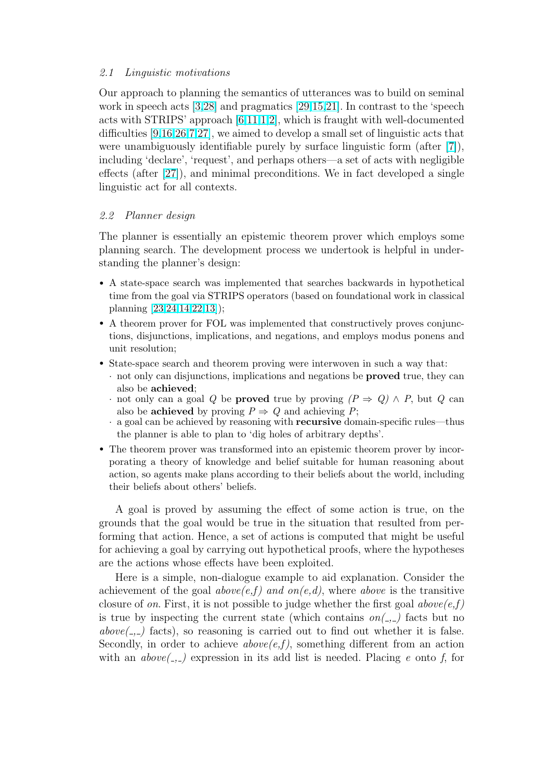#### 2.1 Linguistic motivations

Our approach to planning the semantics of utterances was to build on seminal work in speech acts [3,28] and pragmatics [29,15,21]. In contrast to the 'speech acts with STRIPS' approach  $[6,11,1,2]$ , which is fraught with well-documented difficulties [9,16,26,7,27], we aimed to develop a small set of linguistic acts that were unambiguousl[y i](#page-8-0)[den](#page-9-0)tifiable purely b[y surface](#page-9-0) linguistic form (after [7]), including 'declare', 'request', [and](#page-9-0) [perh](#page-8-0)aps others—a set of acts with negligible effects (aft[er \[27\]\), and](#page-9-0) minimal preconditions. We in fact developed a single linguistic act for all contexts.

### 2.2 Planner [des](#page-9-0)ign

The planner is essentially an epistemic theorem prover which employs some planning search. The development process we undertook is helpful in understanding the planner's design:

- A state-space search was implemented that searches backwards in hypothetical time from the goal via STRIPS operators (based on foundational work in classical planning [23,24,14,22,13]);
- A theorem prover for FOL was implemented that constructively proves conjunctions, disjunctions, implications, and negations, and employs modus ponens and unit resol[ution;](#page-9-0)
- State-space sea[rch and t](#page-9-0)heorem proving were interwoven in such a way that:
	- · not only can disjunctions, implications and negations be proved true, they can also be achieved;
	- · not only can a goal Q be **proved** true by proving  $(P \Rightarrow Q) \wedge P$ , but Q can also be **achieved** by proving  $P \Rightarrow Q$  and achieving P;
	- · a goal can be achieved by reasoning with recursive domain-specific rules—thus the planner is able to plan to 'dig holes of arbitrary depths'.
- The theorem prover was transformed into an epistemic theorem prover by incorporating a theory of knowledge and belief suitable for human reasoning about action, so agents make plans according to their beliefs about the world, including their beliefs about others' beliefs.

A goal is proved by assuming the effect of some action is true, on the grounds that the goal would be true in the situation that resulted from performing that action. Hence, a set of actions is computed that might be useful for achieving a goal by carrying out hypothetical proofs, where the hypotheses are the actions whose effects have been exploited.

Here is a simple, non-dialogue example to aid explanation. Consider the achievement of the goal  $above(e,f)$  and  $on(e,d)$ , where above is the transitive closure of on. First, it is not possible to judge whether the first goal  $above(e,f)$ is true by inspecting the current state (which contains  $on(\underline{\ } ,\underline{\ } )$ ) facts but no  $above($ --) facts), so reasoning is carried out to find out whether it is false. Secondly, in order to achieve  $above(e,f)$ , something different from an action with an  $above($ --- $)$  expression in its add list is needed. Placing e onto f, for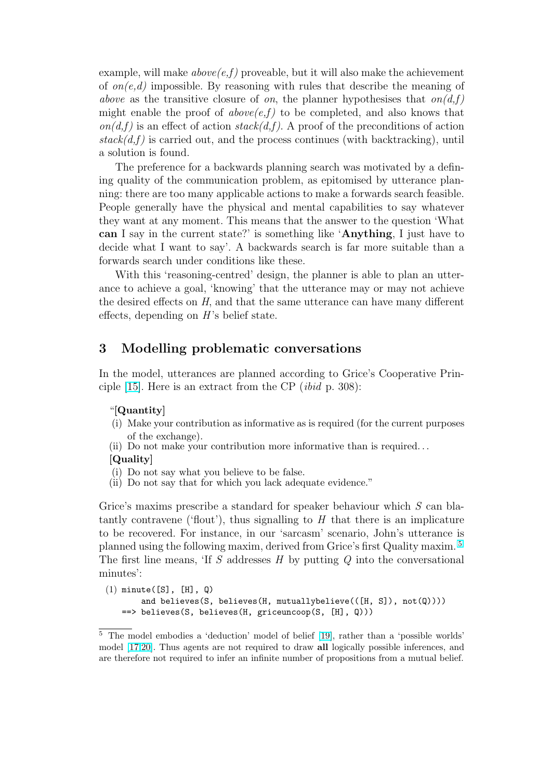example, will make  $above(e,f)$  proveable, but it will also make the achievement of  $on(e,d)$  impossible. By reasoning with rules that describe the meaning of above as the transitive closure of on, the planner hypothesises that  $on(d, f)$ might enable the proof of  $above(e,f)$  to be completed, and also knows that  $on(d,f)$  is an effect of action  $stack(d,f)$ . A proof of the preconditions of action  $stack(d,f)$  is carried out, and the process continues (with backtracking), until a solution is found.

The preference for a backwards planning search was motivated by a defining quality of the communication problem, as epitomised by utterance planning: there are too many applicable actions to make a forwards search feasible. People generally have the physical and mental capabilities to say whatever they want at any moment. This means that the answer to the question 'What can I say in the current state?' is something like 'Anything, I just have to decide what I want to say'. A backwards search is far more suitable than a forwards search under conditions like these.

With this 'reasoning-centred' design, the planner is able to plan an utterance to achieve a goal, 'knowing' that the utterance may or may not achieve the desired effects on H, and that the same utterance can have many different effects, depending on  $H$ 's belief state.

## 3 Modelling problematic conversations

In the model, utterances are planned according to Grice's Cooperative Principle [15]. Here is an extract from the CP (ibid p. 308):

#### "[Quantity]

- (i) Make your contribution as informative as is required (for the current purposes [of](#page-9-0) the exchange).
- (ii) Do not make your contribution more informative than is required. . .

#### [Quality]

- (i) Do not say what you believe to be false.
- (ii) Do not say that for which you lack adequate evidence."

Grice's maxims prescribe a standard for speaker behaviour which S can blatantly contravene ('flout'), thus signalling to  $H$  that there is an implicature to be recovered. For instance, in our 'sarcasm' scenario, John's utterance is planned using the following maxim, derived from Grice's first Quality maxim. <sup>5</sup> The first line means, 'If S addresses  $H$  by putting  $Q$  into the conversational minutes':

```
(1) minute([S], [H], Q)
       and believes(S, believes(H, mutuallybelieve(([H, S]), not(Q))))
   ==> believes(S, believes(H, griceuncoop(S, [H], Q)))
```
<sup>5</sup> The model embodies a 'deduction' model of belief [19], rather than a 'possible worlds' model [17,20]. Thus agents are not required to draw all logically possible inferences, and are therefore not required to infer an infinite number of propositions from a mutual belief.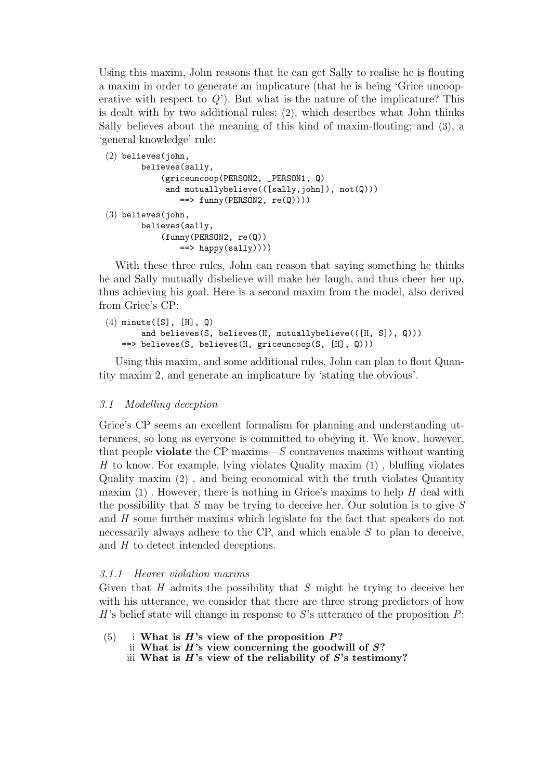Using this maxim, John reasons that he can get Sally to realise he is flouting a maxim in order to generate an implicature (that he is being 'Grice uncooperative with respect to  $Q'$ ). But what is the nature of the implicature? This is dealt with by two additional rules: (2), which describes what John thinks Sally believes about the meaning of this kind of maxim-flouting; and (3), a 'general knowledge' rule:

```
(2) believes(john,
       believes(sally,
            (griceuncoop(PERSON2, _PERSON1, Q)
             and mutuallybelieve(([sally,john]), not(Q)))
                \Rightarrow funny(PERSON2, re(Q))))
(3) believes(john,
       believes(sally,
            (funny(PERSON2, re(Q))
                ==> happy(sally))))
```
With these three rules, John can reason that saying something he thinks he and Sally mutually disbelieve will make her laugh, and thus cheer her up, thus achieving his goal. Here is a second maxim from the model, also derived from Grice's CP:

```
(4) minute([S], [H], Q)
       and believes(S, believes(H, mutuallybelieve(([H, S]), Q)))
   ==> believes(S, believes(H, griceuncoop(S, [H], Q)))
```
Using this maxim, and some additional rules, John can plan to flout Quantity maxim 2, and generate an implicature by 'stating the obvious'.

#### 3.1 Modelling deception

Grice's CP seems an excellent formalism for planning and understanding utterances, so long as everyone is committed to obeying it. We know, however, that people **violate** the CP maxims— $S$  contravenes maxims without wanting H to know. For example, lying violates Quality maxim  $(1)$ , bluffing violates Quality maxim (2) , and being economical with the truth violates Quantity maxim  $(1)$ . However, there is nothing in Grice's maxims to help H deal with the possibility that  $S$  may be trying to deceive her. Our solution is to give  $S$ and H some further maxims which legislate for the fact that speakers do not necessarily always adhere to the CP, and which enable  $S$  to plan to deceive, and H to detect intended deceptions.

### 3.1.1 Hearer violation maxims

Given that H admits the possibility that S might be trying to deceive her with his utterance, we consider that there are three strong predictors of how H's belief state will change in response to S's utterance of the proposition  $P$ :

- (5) i What is  $H$ 's view of the proposition  $P$ ?
	- ii What is  $H$ 's view concerning the goodwill of  $S$ ?
	- iii What is  $H$ 's view of the reliability of  $S$ 's testimony?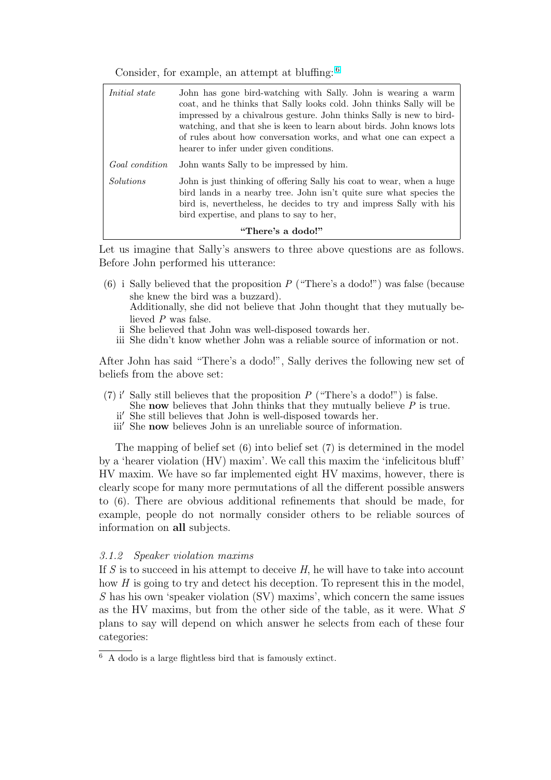Consider, for example, an attempt at bluffing: <sup>6</sup>

| <i>Initial state</i> | John has gone bird-watching with Sally. John is wearing a warm<br>coat, and he thinks that Sally looks cold. John thinks Sally will be<br>impressed by a chival rous gesture. John thinks Sally is new to bird-<br>watching, and that she is keen to learn about birds. John knows lots<br>of rules about how conversation works, and what one can expect a<br>hearer to infer under given conditions. |
|----------------------|--------------------------------------------------------------------------------------------------------------------------------------------------------------------------------------------------------------------------------------------------------------------------------------------------------------------------------------------------------------------------------------------------------|
| Goal condition       | John wants Sally to be impressed by him.                                                                                                                                                                                                                                                                                                                                                               |
| <i>Solutions</i>     | John is just thinking of offering Sally his coat to wear, when a huge<br>bird lands in a nearby tree. John isn't quite sure what species the<br>bird is, nevertheless, he decides to try and impress Sally with his<br>bird expertise, and plans to say to her,                                                                                                                                        |
| "There's a dodo!"    |                                                                                                                                                                                                                                                                                                                                                                                                        |

Let us imagine that Sally's answers to three above questions are as follows. Before John performed his utterance:

- (6) i Sally believed that the proposition  $P$  ("There's a dodo!") was false (because she knew the bird was a buzzard). Additionally, she did not believe that John thought that they mutually believed P was false.
	- ii She believed that John was well-disposed towards her.
	- iii She didn't know whether John was a reliable source of information or not.

After John has said "There's a dodo!", Sally derives the following new set of beliefs from the above set:

- (7) i' Sally still believes that the proposition P ("There's a dodo!") is false.
	- She now believes that John thinks that they mutually believe  $P$  is true.
	- ii<sup>'</sup> She still believes that John is well-disposed towards her.
	- iii' She **now** believes John is an unreliable source of information.

The mapping of belief set (6) into belief set (7) is determined in the model by a 'hearer violation (HV) maxim'. We call this maxim the 'infelicitous bluff' HV maxim. We have so far implemented eight HV maxims, however, there is clearly scope for many more permutations of all the different possible answers to (6). There are obvious additional refinements that should be made, for example, people do not normally consider others to be reliable sources of information on all subjects.

#### 3.1.2 Speaker violation maxims

If S is to succeed in his attempt to deceive  $H$ , he will have to take into account how H is going to try and detect his deception. To represent this in the model, S has his own 'speaker violation (SV) maxims', which concern the same issues as the HV maxims, but from the other side of the table, as it were. What S plans to say will depend on which answer he selects from each of these four categories:

<sup>6</sup> A dodo is a large flightless bird that is famously extinct.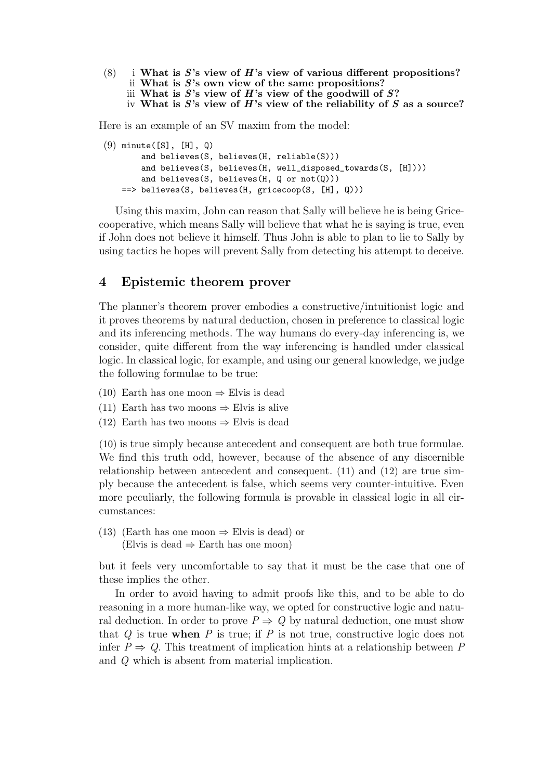(8) i What is S's view of H's view of various different propositions? ii What is  $S$ 's own view of the same propositions? iii What is  $S$ 's view of  $H$ 's view of the goodwill of  $S$ ? iv What is  $S$ 's view of  $H$ 's view of the reliability of  $S$  as a source?

Here is an example of an SV maxim from the model:

```
(9) minute([S], [H], Q)
       and believes(S, believes(H, reliable(S)))
       and believes(S, believes(H, well_disposed_towards(S, [H])))
       and believes(S, believes(H, Q or not(Q)))
   ==> believes(S, believes(H, gricecoop(S, [H], Q)))
```
Using this maxim, John can reason that Sally will believe he is being Gricecooperative, which means Sally will believe that what he is saying is true, even if John does not believe it himself. Thus John is able to plan to lie to Sally by using tactics he hopes will prevent Sally from detecting his attempt to deceive.

## 4 Epistemic theorem prover

The planner's theorem prover embodies a constructive/intuitionist logic and it proves theorems by natural deduction, chosen in preference to classical logic and its inferencing methods. The way humans do every-day inferencing is, we consider, quite different from the way inferencing is handled under classical logic. In classical logic, for example, and using our general knowledge, we judge the following formulae to be true:

- (10) Earth has one moon  $\Rightarrow$  Elvis is dead
- (11) Earth has two moons  $\Rightarrow$  Elvis is alive
- (12) Earth has two moons  $\Rightarrow$  Elvis is dead

(10) is true simply because antecedent and consequent are both true formulae. We find this truth odd, however, because of the absence of any discernible relationship between antecedent and consequent. (11) and (12) are true simply because the antecedent is false, which seems very counter-intuitive. Even more peculiarly, the following formula is provable in classical logic in all circumstances:

(13) (Earth has one moon  $\Rightarrow$  Elvis is dead) or (Elvis is dead  $\Rightarrow$  Earth has one moon)

but it feels very uncomfortable to say that it must be the case that one of these implies the other.

In order to avoid having to admit proofs like this, and to be able to do reasoning in a more human-like way, we opted for constructive logic and natural deduction. In order to prove  $P \Rightarrow Q$  by natural deduction, one must show that  $Q$  is true when  $P$  is true; if  $P$  is not true, constructive logic does not infer  $P \Rightarrow Q$ . This treatment of implication hints at a relationship between P and Q which is absent from material implication.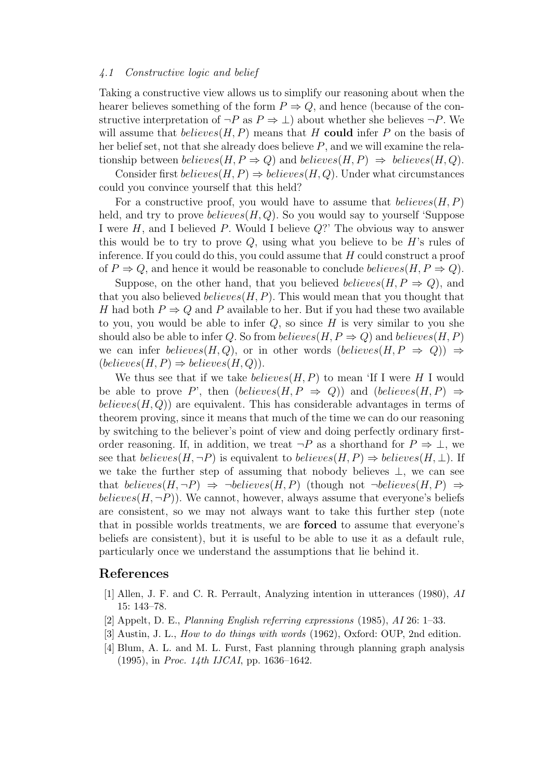#### <span id="page-8-0"></span>4.1 Constructive logic and belief

Taking a constructive view allows us to simplify our reasoning about when the hearer believes something of the form  $P \Rightarrow Q$ , and hence (because of the constructive interpretation of  $\neg P$  as  $P \Rightarrow \bot$ ) about whether she believes  $\neg P$ . We will assume that  $believes(H, P)$  means that H could infer P on the basis of her belief set, not that she already does believe  $P$ , and we will examine the relationship between believes $(H, P \Rightarrow Q)$  and believes $(H, P) \Rightarrow$  believes $(H, Q)$ .

Consider first  $believes(H, P) \Rightarrow believes(H, Q)$ . Under what circumstances could you convince yourself that this held?

For a constructive proof, you would have to assume that  $believes(H, P)$ held, and try to prove  $believes(H,Q)$ . So you would say to yourself 'Suppose I were  $H$ , and I believed  $P$ . Would I believe  $Q$ ?' The obvious way to answer this would be to try to prove  $Q$ , using what you believe to be  $H$ 's rules of inference. If you could do this, you could assume that  $H$  could construct a proof of  $P \Rightarrow Q$ , and hence it would be reasonable to conclude *believes*( $H, P \Rightarrow Q$ ).

Suppose, on the other hand, that you believed *believes*( $H, P \Rightarrow Q$ ), and that you also believed *believes*( $H, P$ ). This would mean that you thought that H had both  $P \Rightarrow Q$  and P available to her. But if you had these two available to you, you would be able to infer  $Q$ , so since  $H$  is very similar to you she should also be able to infer Q. So from believes(H,  $P \Rightarrow Q$ ) and believes(H, P) we can infer believes(H, Q), or in other words (believes(H,  $P \Rightarrow Q$ ))  $\Rightarrow$  $(believes(H, P) \Rightarrow believes(H, Q)).$ 

We thus see that if we take  $believes(H, P)$  to mean 'If I were H I would be able to prove P', then  $(believes(H, P \Rightarrow Q))$  and  $(believes(H, P) \Rightarrow$ believes  $(H, Q)$  are equivalent. This has considerable advantages in terms of theorem proving, since it means that much of the time we can do our reasoning by switching to the believer's point of view and doing perfectly ordinary firstorder reasoning. If, in addition, we treat  $\neg P$  as a shorthand for  $P \Rightarrow \bot$ , we see that  $believes(H, \neg P)$  is equivalent to  $believes(H, P) \Rightarrow believes(H, \bot)$ . If we take the further step of assuming that nobody believes  $\perp$ , we can see that believes $(H, \neg P) \Rightarrow \neg believes(H, P)$  (though not  $\neg believes(H, P) \Rightarrow$ believes  $(H, \neg P)$ . We cannot, however, always assume that everyone's beliefs are consistent, so we may not always want to take this further step (note that in possible worlds treatments, we are forced to assume that everyone's beliefs are consistent), but it is useful to be able to use it as a default rule, particularly once we understand the assumptions that lie behind it.

#### References

- [1] Allen, J. F. and C. R. Perrault, Analyzing intention in utterances (1980), AI 15: 143–78.
- [2] Appelt, D. E., Planning English referring expressions (1985), AI 26: 1–33.
- [3] Austin, J. L., How to do things with words (1962), Oxford: OUP, 2nd edition.
- [4] Blum, A. L. and M. L. Furst, Fast planning through planning graph analysis (1995), in Proc. 14th IJCAI, pp. 1636–1642.